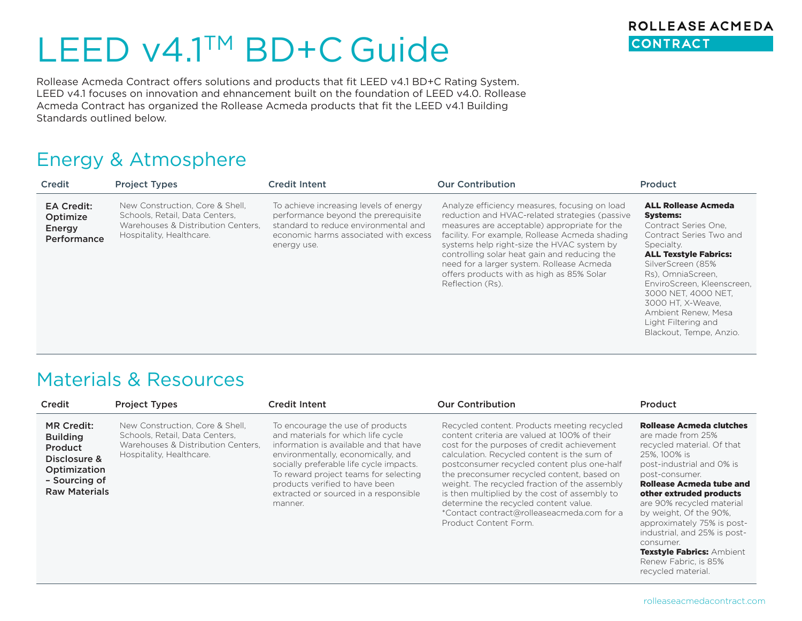# LEED v4.1<sup>™</sup> BD+C Guide

Rollease Acmeda Contract offers solutions and products that fit LEED v4.1 BD+C Rating System. LEED v4.1 focuses on innovation and ehnancement built on the foundation of LEED v4.0. Rollease Acmeda Contract has organized the Rollease Acmeda products that fit the LEED v4.1 Building Standards outlined below.

### Energy & Atmosphere

| Credit                                                 | <b>Project Types</b>                                                                                                                | <b>Credit Intent</b>                                                                                                                                                          | <b>Our Contribution</b>                                                                                                                                                                                                                                                                                                                                                                                       | Product                                                                                                                                                                                                                                                                                                                                     |
|--------------------------------------------------------|-------------------------------------------------------------------------------------------------------------------------------------|-------------------------------------------------------------------------------------------------------------------------------------------------------------------------------|---------------------------------------------------------------------------------------------------------------------------------------------------------------------------------------------------------------------------------------------------------------------------------------------------------------------------------------------------------------------------------------------------------------|---------------------------------------------------------------------------------------------------------------------------------------------------------------------------------------------------------------------------------------------------------------------------------------------------------------------------------------------|
| <b>EA Credit:</b><br>Optimize<br>Energy<br>Performance | New Construction. Core & Shell.<br>Schools, Retail, Data Centers,<br>Warehouses & Distribution Centers.<br>Hospitality, Healthcare. | To achieve increasing levels of energy<br>performance beyond the prerequisite<br>standard to reduce environmental and<br>economic harms associated with excess<br>energy use. | Analyze efficiency measures, focusing on load<br>reduction and HVAC-related strategies (passive<br>measures are acceptable) appropriate for the<br>facility. For example, Rollease Acmeda shading<br>systems help right-size the HVAC system by<br>controlling solar heat gain and reducing the<br>need for a larger system. Rollease Acmeda<br>offers products with as high as 85% Solar<br>Reflection (Rs). | <b>ALL Rollease Acmeda</b><br><b>Systems:</b><br>Contract Series One.<br>Contract Series Two and<br>Specialty.<br><b>ALL Texstyle Fabrics:</b><br>SilverScreen (85%<br>Rs). OmniaScreen.<br>EnviroScreen, Kleenscreen,<br>3000 NET, 4000 NET,<br>3000 HT. X-Weave.<br>Ambient Renew, Mesa<br>Light Filtering and<br>Blackout, Tempe, Anzio. |

#### Materials & Resources

| Credit                                                                                                                          | <b>Project Types</b>                                                                                                                | Credit Intent                                                                                                                                                                                                                                                                                                                    | <b>Our Contribution</b>                                                                                                                                                                                                                                                                                                                                                                                                                                                                                  | Product                                                                                                                                                                                                                                                                                                                                                                        |
|---------------------------------------------------------------------------------------------------------------------------------|-------------------------------------------------------------------------------------------------------------------------------------|----------------------------------------------------------------------------------------------------------------------------------------------------------------------------------------------------------------------------------------------------------------------------------------------------------------------------------|----------------------------------------------------------------------------------------------------------------------------------------------------------------------------------------------------------------------------------------------------------------------------------------------------------------------------------------------------------------------------------------------------------------------------------------------------------------------------------------------------------|--------------------------------------------------------------------------------------------------------------------------------------------------------------------------------------------------------------------------------------------------------------------------------------------------------------------------------------------------------------------------------|
| <b>MR Credit:</b><br><b>Building</b><br><b>Product</b><br>Disclosure &<br>Optimization<br>- Sourcing of<br><b>Raw Materials</b> | New Construction, Core & Shell,<br>Schools, Retail, Data Centers,<br>Warehouses & Distribution Centers.<br>Hospitality, Healthcare. | To encourage the use of products<br>and materials for which life cycle<br>information is available and that have<br>environmentally, economically, and<br>socially preferable life cycle impacts.<br>To reward project teams for selecting<br>products verified to have been<br>extracted or sourced in a responsible<br>manner. | Recycled content. Products meeting recycled<br>content criteria are valued at 100% of their<br>cost for the purposes of credit achievement<br>calculation. Recycled content is the sum of<br>postconsumer recycled content plus one-half<br>the preconsumer recycled content, based on<br>weight. The recycled fraction of the assembly<br>is then multiplied by the cost of assembly to<br>determine the recycled content value.<br>*Contact contract@rolleaseacmeda.com for a<br>Product Content Form. | <b>Rollease Acmeda clutches</b><br>are made from 25%<br>recycled material. Of that<br>25%, 100% is<br>post-industrial and 0% is<br>post-consumer.<br>Rollease Acmeda tube and<br>other extruded products<br>are 90% recycled material<br>by weight, Of the 90%,<br>approximately 75% is post-<br>industrial, and 25% is post-<br>consumer.<br><b>Texstyle Fabrics: Ambient</b> |

Renew Fabric, is 85% recycled material.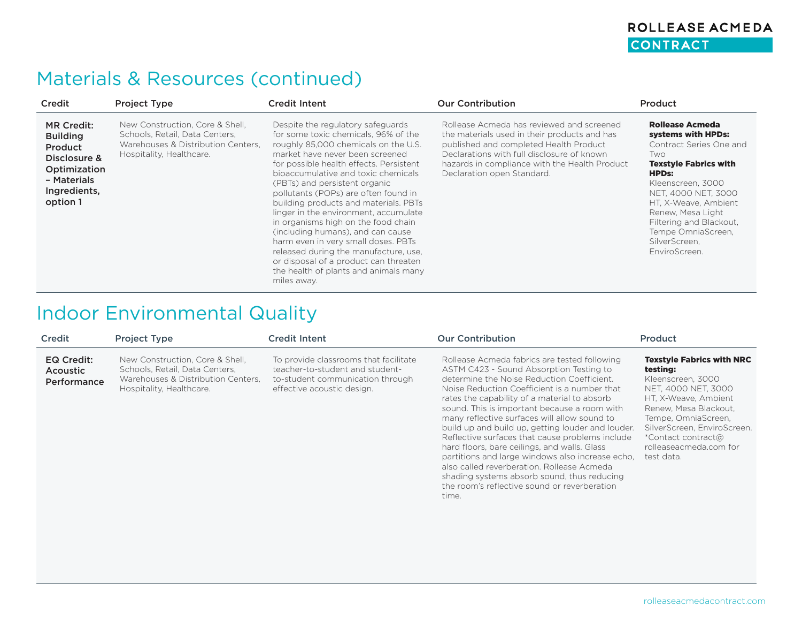#### ROLLEASE ACMEDA CONTRACT

## Materials & Resources (continued)

| Credit                                                                                                                     | <b>Project Type</b>                                                                                                                 | <b>Credit Intent</b>                                                                                                                                                                                                                                                                                                                                                                                                                                                                                                                                                                                                                                           | <b>Our Contribution</b>                                                                                                                                                                                                                                          | Product                                                                                                                                                                                                                                                                                             |
|----------------------------------------------------------------------------------------------------------------------------|-------------------------------------------------------------------------------------------------------------------------------------|----------------------------------------------------------------------------------------------------------------------------------------------------------------------------------------------------------------------------------------------------------------------------------------------------------------------------------------------------------------------------------------------------------------------------------------------------------------------------------------------------------------------------------------------------------------------------------------------------------------------------------------------------------------|------------------------------------------------------------------------------------------------------------------------------------------------------------------------------------------------------------------------------------------------------------------|-----------------------------------------------------------------------------------------------------------------------------------------------------------------------------------------------------------------------------------------------------------------------------------------------------|
| <b>MR Credit:</b><br><b>Building</b><br>Product<br>Disclosure &<br>Optimization<br>- Materials<br>Ingredients,<br>option 1 | New Construction, Core & Shell,<br>Schools, Retail, Data Centers,<br>Warehouses & Distribution Centers.<br>Hospitality, Healthcare. | Despite the regulatory safeguards<br>for some toxic chemicals, 96% of the<br>roughly 85,000 chemicals on the U.S.<br>market have never been screened<br>for possible health effects. Persistent<br>bioaccumulative and toxic chemicals<br>(PBTs) and persistent organic<br>pollutants (POPs) are often found in<br>building products and materials. PBTs<br>linger in the environment, accumulate<br>in organisms high on the food chain<br>(including humans), and can cause<br>harm even in very small doses. PBTs<br>released during the manufacture, use,<br>or disposal of a product can threaten<br>the health of plants and animals many<br>miles away. | Rollease Acmeda has reviewed and screened<br>the materials used in their products and has<br>published and completed Health Product<br>Declarations with full disclosure of known<br>hazards in compliance with the Health Product<br>Declaration open Standard. | Rollease Acmeda<br>systems with HPDs:<br>Contract Series One and<br>Two<br><b>Texstyle Fabrics with</b><br><b>HPDs:</b><br>Kleenscreen, 3000<br>NET, 4000 NET, 3000<br>HT, X-Weave, Ambient<br>Renew, Mesa Light<br>Filtering and Blackout,<br>Tempe OmniaScreen,<br>SilverScreen.<br>EnviroScreen. |

## Indoor Environmental Quality

| Credit                                       | <b>Project Type</b>                                                                                                                 | <b>Credit Intent</b>                                                                                                                       | <b>Our Contribution</b>                                                                                                                                                                                                                                                                                                                                                                                                                                                                                                                                                                                                                                                                                 | Product                                                                                                                                                                                                                                                       |
|----------------------------------------------|-------------------------------------------------------------------------------------------------------------------------------------|--------------------------------------------------------------------------------------------------------------------------------------------|---------------------------------------------------------------------------------------------------------------------------------------------------------------------------------------------------------------------------------------------------------------------------------------------------------------------------------------------------------------------------------------------------------------------------------------------------------------------------------------------------------------------------------------------------------------------------------------------------------------------------------------------------------------------------------------------------------|---------------------------------------------------------------------------------------------------------------------------------------------------------------------------------------------------------------------------------------------------------------|
| EQ Credit:<br><b>Acoustic</b><br>Performance | New Construction, Core & Shell,<br>Schools, Retail, Data Centers,<br>Warehouses & Distribution Centers,<br>Hospitality, Healthcare. | To provide classrooms that facilitate<br>teacher-to-student and student-<br>to-student communication through<br>effective acoustic design. | Rollease Acmeda fabrics are tested following<br>ASTM C423 - Sound Absorption Testing to<br>determine the Noise Reduction Coefficient.<br>Noise Reduction Coefficient is a number that<br>rates the capability of a material to absorb<br>sound. This is important because a room with<br>many reflective surfaces will allow sound to<br>build up and build up, getting louder and louder.<br>Reflective surfaces that cause problems include<br>hard floors, bare ceilings, and walls. Glass<br>partitions and large windows also increase echo.<br>also called reverberation. Rollease Acmeda<br>shading systems absorb sound, thus reducing<br>the room's reflective sound or reverberation<br>time. | <b>Texstyle Fabrics with NRC</b><br>testing:<br>Kleenscreen, 3000<br>NET. 4000 NET. 3000<br>HT. X-Weave. Ambient<br>Renew, Mesa Blackout,<br>Tempe, OmniaScreen,<br>SilverScreen, EnviroScreen.<br>*Contact contract@<br>rolleaseacmeda.com for<br>test data. |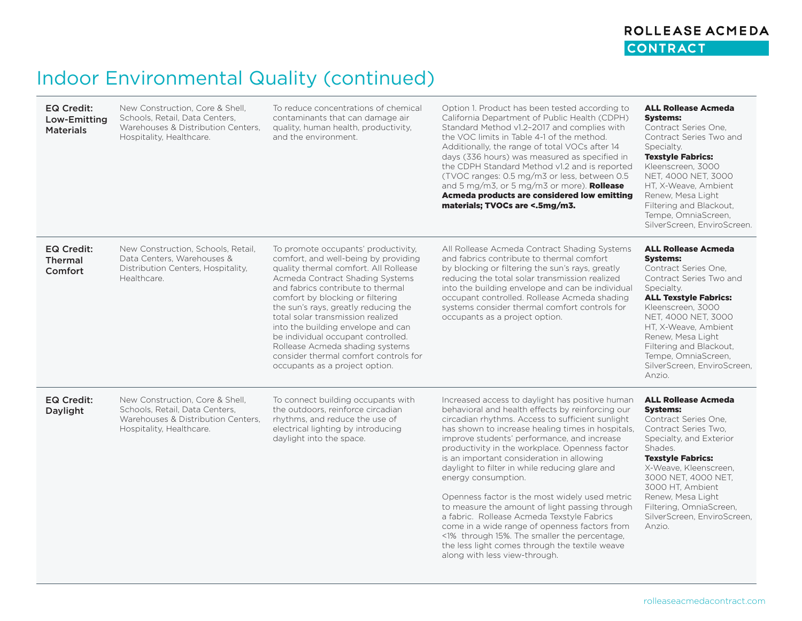#### ROLLEASE ACMEDA CONTRACT

# Indoor Environmental Quality (continued)

| <b>EQ Credit:</b><br>Low-Emitting<br><b>Materials</b> | New Construction, Core & Shell,<br>Schools, Retail, Data Centers,<br>Warehouses & Distribution Centers.<br>Hospitality, Healthcare. | To reduce concentrations of chemical<br>contaminants that can damage air<br>quality, human health, productivity,<br>and the environment.                                                                                                                                                                                                                                                                                                                                                                | Option 1. Product has been tested according to<br>California Department of Public Health (CDPH)<br>Standard Method v1.2-2017 and complies with<br>the VOC limits in Table 4-1 of the method.<br>Additionally, the range of total VOCs after 14<br>days (336 hours) was measured as specified in<br>the CDPH Standard Method v1.2 and is reported<br>(TVOC ranges: 0.5 mg/m3 or less, between 0.5<br>and 5 mg/m3, or 5 mg/m3 or more). <b>Rollease</b><br>Acmeda products are considered low emitting<br>materials; TVOCs are <.5mg/m3.                                                                                                                                                                                                                                    | <b>ALL Rollease Acmeda</b><br><b>Systems:</b><br>Contract Series One,<br>Contract Series Two and<br>Specialty.<br><b>Texstyle Fabrics:</b><br>Kleenscreen, 3000<br>NET, 4000 NET, 3000<br>HT, X-Weave, Ambient<br>Renew, Mesa Light<br>Filtering and Blackout,<br>Tempe, OmniaScreen,<br>SilverScreen, EnviroScreen,               |
|-------------------------------------------------------|-------------------------------------------------------------------------------------------------------------------------------------|---------------------------------------------------------------------------------------------------------------------------------------------------------------------------------------------------------------------------------------------------------------------------------------------------------------------------------------------------------------------------------------------------------------------------------------------------------------------------------------------------------|---------------------------------------------------------------------------------------------------------------------------------------------------------------------------------------------------------------------------------------------------------------------------------------------------------------------------------------------------------------------------------------------------------------------------------------------------------------------------------------------------------------------------------------------------------------------------------------------------------------------------------------------------------------------------------------------------------------------------------------------------------------------------|------------------------------------------------------------------------------------------------------------------------------------------------------------------------------------------------------------------------------------------------------------------------------------------------------------------------------------|
| <b>EQ Credit:</b><br><b>Thermal</b><br>Comfort        | New Construction, Schools, Retail,<br>Data Centers, Warehouses &<br>Distribution Centers, Hospitality,<br>Healthcare.               | To promote occupants' productivity,<br>comfort, and well-being by providing<br>quality thermal comfort. All Rollease<br>Acmeda Contract Shading Systems<br>and fabrics contribute to thermal<br>comfort by blocking or filtering<br>the sun's rays, greatly reducing the<br>total solar transmission realized<br>into the building envelope and can<br>be individual occupant controlled.<br>Rollease Acmeda shading systems<br>consider thermal comfort controls for<br>occupants as a project option. | All Rollease Acmeda Contract Shading Systems<br>and fabrics contribute to thermal comfort<br>by blocking or filtering the sun's rays, greatly<br>reducing the total solar transmission realized<br>into the building envelope and can be individual<br>occupant controlled. Rollease Acmeda shading<br>systems consider thermal comfort controls for<br>occupants as a project option.                                                                                                                                                                                                                                                                                                                                                                                    | <b>ALL Rollease Acmeda</b><br><b>Systems:</b><br>Contract Series One.<br>Contract Series Two and<br>Specialty.<br><b>ALL Texstyle Fabrics:</b><br>Kleenscreen, 3000<br>NET, 4000 NET, 3000<br>HT, X-Weave, Ambient<br>Renew, Mesa Light<br>Filtering and Blackout,<br>Tempe, OmniaScreen,<br>SilverScreen, EnviroScreen,<br>Anzio. |
| <b>EQ Credit:</b><br>Daylight                         | New Construction, Core & Shell,<br>Schools, Retail, Data Centers,<br>Warehouses & Distribution Centers,<br>Hospitality, Healthcare. | To connect building occupants with<br>the outdoors, reinforce circadian<br>rhythms, and reduce the use of<br>electrical lighting by introducing<br>daylight into the space.                                                                                                                                                                                                                                                                                                                             | Increased access to daylight has positive human<br>behavioral and health effects by reinforcing our<br>circadian rhythms. Access to sufficient sunlight<br>has shown to increase healing times in hospitals,<br>improve students' performance, and increase<br>productivity in the workplace. Openness factor<br>is an important consideration in allowing<br>daylight to filter in while reducing glare and<br>energy consumption.<br>Openness factor is the most widely used metric<br>to measure the amount of light passing through<br>a fabric. Rollease Acmeda Texstyle Fabrics<br>come in a wide range of openness factors from<br><1% through 15%. The smaller the percentage,<br>the less light comes through the textile weave<br>along with less view-through. | <b>ALL Rollease Acmeda</b><br><b>Systems:</b><br>Contract Series One,<br>Contract Series Two.<br>Specialty, and Exterior<br>Shades.<br><b>Texstyle Fabrics:</b><br>X-Weave, Kleenscreen,<br>3000 NET, 4000 NET,<br>3000 HT, Ambient<br>Renew, Mesa Light<br>Filtering, OmniaScreen,<br>SilverScreen, EnviroScreen,<br>Anzio.       |